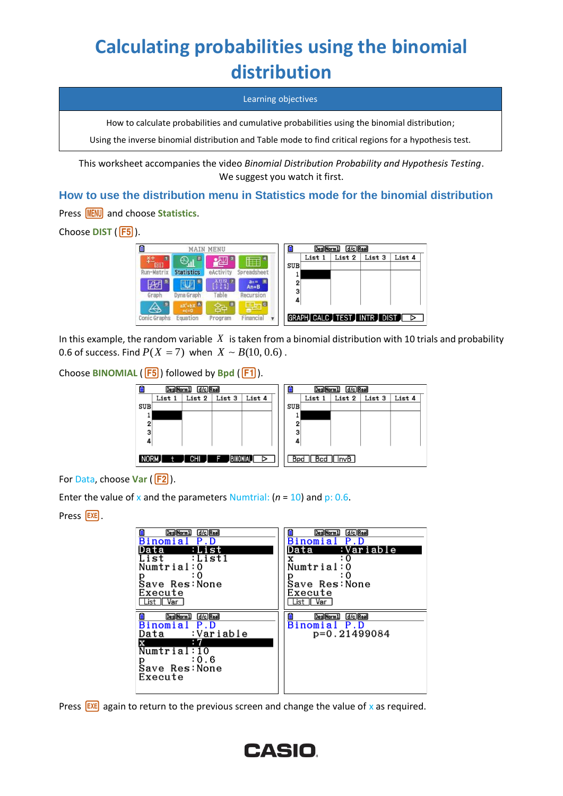# **Calculating probabilities using the binomial distribution**

Learning objectives

How to calculate probabilities and cumulative probabilities using the binomial distribution;

Using the inverse binomial distribution and Table mode to find critical regions for a hypothesis test.

This worksheet accompanies the video *Binomial Distribution Probability and Hypothesis Testing*. We suggest you watch it first.

### **How to use the distribution menu in Statistics mode for the binomial distribution**

Press **MENU** and choose Statistics.

Choose **DIST** (F5).

| E                  |                                | <b>MAIN MENU</b>    |                         | E   | Deg Norm 1 | d/c Real                  |        |        |
|--------------------|--------------------------------|---------------------|-------------------------|-----|------------|---------------------------|--------|--------|
|                    | п<br>A                         |                     | g.                      |     | List 1     | List 2                    | List 3 | List 4 |
| [89]<br>Run-Matrix | <b>Statistics</b>              | تتنازل<br>eActivity | Spreadsheet             | SUB |            |                           |        |        |
| $\mathbb{A}$       | E                              | $\frac{1}{2}$       | 8<br>$an =$<br>$An + B$ | 2   |            |                           |        |        |
| Graph              | Dyna Graph                     | Table               | Recursion               | 3   |            |                           |        |        |
| в<br>              | $aX+bX$ <sup>A</sup><br>$+c=0$ | B<br>≆≥             | ▣                       | 4   |            |                           |        |        |
| Conic Graphs       | Equation                       | ۴<br>Program        | Financial               |     |            | GRAPH CALC TEST INTR DIST |        |        |

In this example, the random variable  $X$  is taken from a binomial distribution with 10 trials and probability 0.6 of success. Find  $P(X=7)$  when  $X \simeq B(10, 0.6)$  .

Choose **BINOMIAL** (F5) followed by **Bpd** (F1).



For Data, choose Var (F2).

Enter the value of x and the parameters Numtrial:  $(n = 10)$  and p: 0.6.

Press **EXE**.

| d/c Real                                                                                                                           | d/c Real                                               |
|------------------------------------------------------------------------------------------------------------------------------------|--------------------------------------------------------|
| Deg Norm 1                                                                                                                         | Deg Norm 1                                             |
| Binomial                                                                                                                           | Binomial                                               |
| Data                                                                                                                               | :Variable                                              |
| :List1                                                                                                                             | Data                                                   |
| List                                                                                                                               | x                                                      |
| Numtrial:0                                                                                                                         | Numtrial:0                                             |
| ፡ 0                                                                                                                                | ፡ 0                                                    |
| р                                                                                                                                  | р                                                      |
| Save Res: None                                                                                                                     | Save Res:None                                          |
| Execute                                                                                                                            | Execute                                                |
| l List II Var                                                                                                                      | List    Var                                            |
| е<br>d/c Real<br>Deg Norm 1<br>Binomial<br>P.D<br>:Variable<br>Data<br>x<br>Numtrial:10<br>: 0.6<br>р<br>Save Res: None<br>Execute | Deg Norm 1<br>d/c Real<br>Binomial P.D<br>p=0.21499084 |

Press  $EXE$  again to return to the previous screen and change the value of x as required.

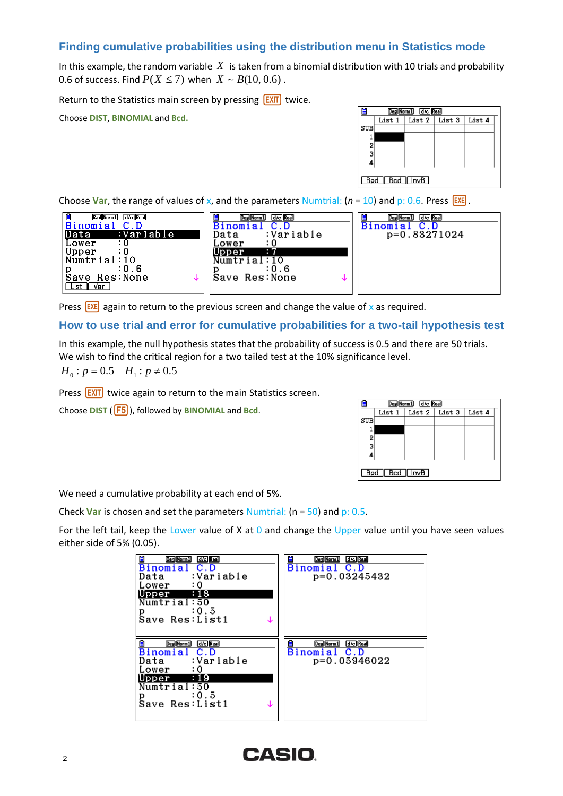## **Finding cumulative probabilities using the distribution menu in Statistics mode**

In this example, the random variable  $|X|$  is taken from a binomial distribution with 10 trials and probability 0.6 of success. Find  $P(X \le 7)$  when  $\,X \simeq B(10,0.6)$  .

Return to the Statistics main screen by pressing  $EXIT$  twice.

Choose **DIST**, **BINOMIAL** and **Bcd.**

| e   |                  | Deg Norm 1 d/c Real |        |
|-----|------------------|---------------------|--------|
|     | List 1           | List 2   List 3     | List 4 |
| SUB |                  |                     |        |
|     |                  |                     |        |
| 2   |                  |                     |        |
| 3   |                  |                     |        |
|     |                  |                     |        |
|     |                  |                     |        |
|     | Bpd   Bcd   InvB |                     |        |

Choose Var, the range of values of x, and the parameters Numtrial:  $(n = 10)$  and p: 0.6. Press  $\overline{EXE}$ .



Press  $\left[\frac{EXE}{X}\right]$  again to return to the previous screen and change the value of x as required.

#### **How to use trial and error for cumulative probabilities for a two-tail hypothesis test**

In this example, the null hypothesis states that the probability of success is 0.5 and there are 50 trials. We wish to find the critical region for a two tailed test at the 10% significance level.

$$
H_0: p = 0.5
$$
  $H_1: p \neq 0.5$ 

Press **EXIT** twice again to return to the main Statistics screen.

Choose **DIST** ( $\overline{F5}$ ), followed by **BINOMIAL** and **Bcd**.

|     | Deg Norm 1 d/c Real    |  |                             |        |  |
|-----|------------------------|--|-----------------------------|--------|--|
|     | List 1                 |  | List $2 \mid$ List $3 \mid$ | List 4 |  |
| SUB |                        |  |                             |        |  |
|     |                        |  |                             |        |  |
| 2   |                        |  |                             |        |  |
| 3   |                        |  |                             |        |  |
|     |                        |  |                             |        |  |
|     |                        |  |                             |        |  |
|     | $Bpd$ $Bcd$ $\Box$ nvB |  |                             |        |  |

We need a cumulative probability at each end of 5%.

Check **Var** is chosen and set the parameters Numtrial: (n = 50) and p: 0.5.

For the left tail, keep the Lower value of X at 0 and change the Upper value until you have seen values either side of 5% (0.05).

| d/c Real<br><b>Binomial C.D</b><br>:Variable<br>Data<br>Lower<br>: 0<br>Upper :18                                                           | d/c Real<br>Deg Norm 1<br>Binomial C.D<br>p=0.03245432 |
|---------------------------------------------------------------------------------------------------------------------------------------------|--------------------------------------------------------|
| Numtrial:50<br>: 0.5                                                                                                                        |                                                        |
| d/c Real<br>Deg Norm 1<br>Binomial C.D<br>:Variable<br>Data<br>Lower<br>: 0<br>- 19<br>Upper<br>Numtrial:50<br>:0.5<br>p<br>Save Res: List1 | Deg Norm 1<br>d/c Real<br>Binomial C.D<br>p=0.05946022 |

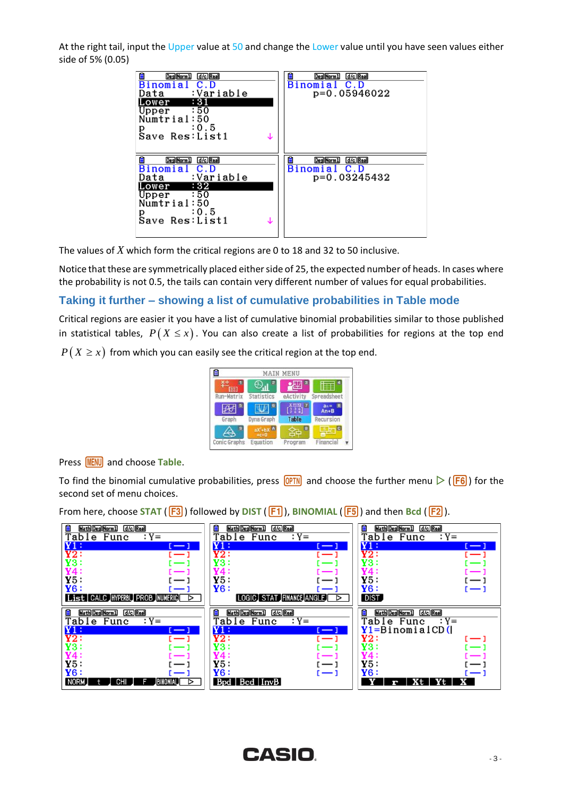At the right tail, input the Upper value at 50 and change the Lower value until you have seen values either side of 5% (0.05)

| d/c Real<br>Deg Norm 1<br>Binomial<br>C.D<br>Data :Variable<br>:31<br>Lower<br>$Upper \qquad :50$<br>Numtrial:50<br>$p \t 0.5$<br>Save Res: List1   | d/c Real<br>Deg Norm 1<br>Binomial C.D<br>p=0.05946022 |
|-----------------------------------------------------------------------------------------------------------------------------------------------------|--------------------------------------------------------|
| Ê<br>d/c Real<br>Deg Norm 1<br>Binomial C.D<br>:Variable<br>Data<br>Lower : 32<br>$Upper \qquad :50$<br>Numtrial:50<br>: 0.5<br>р<br>Save Res:List1 | d/c Real<br>Deg Norm1<br>Binomial C.D<br>p=0.03245432  |

The values of *X* which form the critical regions are 0 to 18 and 32 to 50 inclusive.

Notice that these are symmetrically placed either side of 25, the expected number of heads. In cases where the probability is not 0.5, the tails can contain very different number of values for equal probabilities.

#### **Taking it further – showing a list of cumulative probabilities in Table mode**

Critical regions are easier it you have a list of cumulative binomial probabilities similar to those published in statistical tables,  $\,P\big(\,X \leq x\,\big)\,.$  You can also create a list of probabilities for regions at the top end

 $P\bigl(X\geq x\bigr)$  from which you can easily see the critical region at the top end.

| e<br><b>MAIN MENU</b> |                         |                                                                                          |                         |  |
|-----------------------|-------------------------|------------------------------------------------------------------------------------------|-------------------------|--|
| <b>CHELL</b>          |                         |                                                                                          |                         |  |
| Run-Matrix            | Statistics              | eActivity                                                                                | Spreadsheet             |  |
|                       | Б                       | $\left[\begin{smallmatrix} x & x & x \\ 1 & 2 & 4 \\ 2 & 1 & 1 \end{smallmatrix}\right]$ | в<br>$an =$<br>$An + B$ |  |
| Graph                 | Dyna Graph              | Table                                                                                    | Recursion               |  |
|                       | $aX^2 + bX$<br>$+c = 0$ | B                                                                                        | c                       |  |
| Conic Graphs          | Equation                | Program                                                                                  | Financia                |  |

Press **MENU** and choose Table.

To find the binomial cumulative probabilities, press  $\overline{OPTN}$  and choose the further menu  $\triangleright$  ( $\overline{F6}$ ) for the second set of menu choices.

From here, choose STAT ( $\overline{F3}$ ) followed by **DIST** ( $\overline{F1}$ ), **BINOMIAL** ( $\overline{F5}$ ) and then **Bcd** ( $\overline{F2}$ ).

| d/c Real<br>Math Deg Norm 1<br>₿<br>Table Func<br>$: Y =$                                                                                                                                                                | ₿<br>$d/c$ Real<br>Math Deg Norm 1<br>$: Y =$<br>Table Func                                                                                                                  | d/c Real<br>Ê<br>Math Deg Norm 1<br>Table Func<br>$: Y =$                                                                                     |
|--------------------------------------------------------------------------------------------------------------------------------------------------------------------------------------------------------------------------|------------------------------------------------------------------------------------------------------------------------------------------------------------------------------|-----------------------------------------------------------------------------------------------------------------------------------------------|
| Y1:<br>[ — ]<br>Y2:<br>$-1$<br>Y3                                                                                                                                                                                        | $\mathbf{Y1}:$<br>$\sim$ 1<br>Y2:<br>$\sim$ 1<br>YЗ<br>$-1$                                                                                                                  | $\mathtt{Y1}$ :<br><u>.</u><br>Y2:<br>$(-1)$<br><b>Y3:</b>                                                                                    |
| Y5:<br>Y6:<br>List CALC HYPERBL PROB NUMERIC<br>⊳                                                                                                                                                                        | Y5:<br>— 1<br>Y6:<br>— 1<br>LOGIC STAT FINANCE ANGLE<br>⊳                                                                                                                    | Y5 :<br>$\sim$<br>Y6:<br>DIST,                                                                                                                |
| d/c Real<br><b>Math Deg Norm 1</b><br>$: Y =$<br>Table Func<br>Y1:<br>$\mathfrak{l}=\mathfrak{l}$<br>Y2:<br>$-1$<br>Y3:<br>$\sim$<br>$\overline{Y}$ <sub>5</sub> :<br>$\overline{Y6}$ :<br>NORM.<br>BINONIAL<br>CHI<br>⊳ | 自<br>$d/c$ Real<br>Math Deg Norm 1<br>$: Y =$<br>Table Func<br>Y1:<br>u — I<br>Y2:<br>$\leftarrow$ 1<br>Y3.<br>$-1$<br>— 1<br>Y5:<br>$-1$<br>Y6:<br>$-1$<br>Bpd   Bcd   InvB | Ė<br>d/c Real<br><b>Math Deg Norm 1</b><br>Table Func<br>$: Y =$<br>$Y1 = B$ inomialCD(<br>Y2:<br>Y3:<br>Y5:<br>Y6:<br>r — 1<br>Yt<br>Хt<br>r |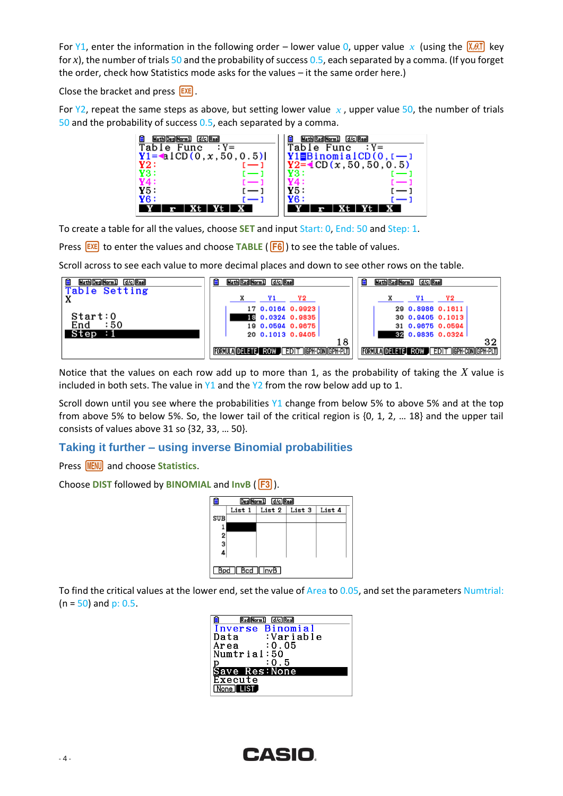For Y1, enter the information in the following order – lower value 0, upper value x (using the  $\sqrt{\chi(0,1)}$  key for *x*), the number of trials 50 and the probability of success 0.5, each separated by a comma. (If you forget the order, check how Statistics mode asks for the values – it the same order here.)

Close the bracket and press  $EXE$ .

For  $Y2$ , repeat the same steps as above, but setting lower value  $x$ , upper value 50, the number of trials 50 and the probability of success 0.5, each separated by a comma.



To create a table for all the values, choose **SET** and input Start: 0, End: 50 and Step: 1.

Press **EXE** to enter the values and choose **TABLE** (**F6**) to see the table of values.

Scroll across to see each value to more decimal places and down to see other rows on the table.

| d/c Real<br>Math  Deg  Norm1 | d/c Real<br>Math Rad Norm 1             | d/c Real<br>Math Rad Norm 1            |
|------------------------------|-----------------------------------------|----------------------------------------|
| Table Setting                | Y2                                      | Y2                                     |
|                              | 17 0.0164 0.9923                        | 29 0.8986 0.1611                       |
| Start:0<br>:50<br>End        | 18 0.0324 0.9835                        | 30 0.9405 0.1013                       |
| Step                         | 19 0.0594 0.9675<br>20 0.1013 0.9405    | 31 0.9675 0.0594<br>32 0.9835 0.0324   |
|                              | 18                                      | 32                                     |
|                              | FORMULA DELETE ROW EDIT GPH-CON GPH-PLT | FORMULA DELETE ROW EDIT GPH-CONGPH-PLT |

Notice that the values on each row add up to more than 1, as the probability of taking the *X* value is included in both sets. The value in  $Y1$  and the  $Y2$  from the row below add up to 1.

Scroll down until you see where the probabilities Y1 change from below 5% to above 5% and at the top from above 5% to below 5%. So, the lower tail of the critical region is {0, 1, 2, … 18} and the upper tail consists of values above 31 so {32, 33, … 50}.

#### **Taking it further – using inverse Binomial probabilities**

Press **MENU** and choose **Statistics**.

**Choose DIST** followed by **BINOMIAL** and **InvB** (F3).



To find the critical values at the lower end, set the value of Area to 0.05, and set the parameters Numtrial:  $(n = 50)$  and p: 0.5.

| Rad Norm 1<br>d/c   Real |  |
|--------------------------|--|
| Inverse Binomial         |  |
| :Variable<br>Data        |  |
| : 0.05<br>Area           |  |
| Numtrial:50              |  |
| : 0 : 5                  |  |
| Save Res:None            |  |
| Execute                  |  |
| None <b>HIST</b>         |  |